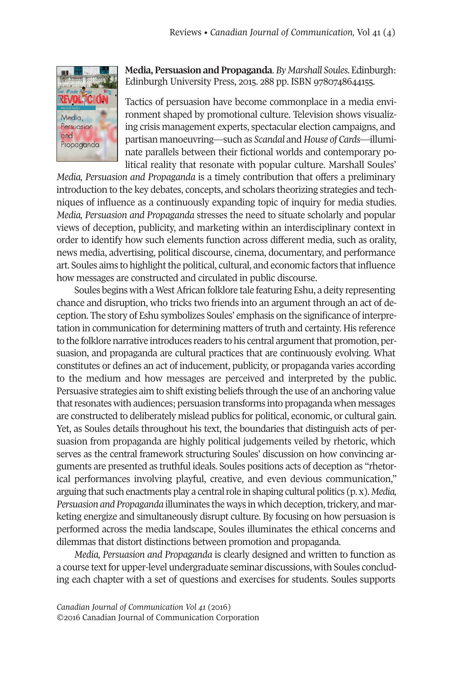

**Media, Persuasion and Propaganda**. *By Marshall Soules*. Edinburgh: Edinburgh University Press, 2015. 288 pp. ISBN 9780748644155.

Tactics of persuasion have become commonplace in a media environment shaped by promotional culture. Television shows visualizing crisis management experts, spectacular election campaigns, and partisan manoeuvring—such as *Scandal* and *House of Cards*—illuminate parallels between their fictional worlds and contemporary political reality that resonate with popular culture. Marshall Soules'

*Media, Persuasion and Propaganda* is a timely contribution that offers a preliminary introduction to the key debates, concepts, and scholars theorizing strategies and techniques of influence as a continuously expanding topic of inquiry for media studies. *Media, Persuasion and Propaganda* stresses the need to situate scholarly and popular views of deception, publicity, and marketing within an interdisciplinary context in order to identify how such elements function across different media, such as orality, news media, advertising, political discourse, cinema, documentary, and performance art. Soules aims to highlightthe political, cultural, and economic factors thatinfluence how messages are constructed and circulated in public discourse.

Soules begins with a WestAfrican folklore tale featuring Eshu, a deity representing chance and disruption, who tricks two friends into an argument through an act of deception. The story of Eshu symbolizes Soules' emphasis on the significance of interpretation in communication for determining matters of truth and certainty. His reference to the folklore narrative introduces readers to his central argument that promotion, persuasion, and propaganda are cultural practices that are continuously evolving. What constitutes or defines an act of inducement, publicity, or propaganda varies according to the medium and how messages are perceived and interpreted by the public. Persuasive strategies aim to shift existing beliefs through the use of an anchoring value that resonates with audiences; persuasion transforms into propaganda when messages are constructed to deliberately mislead publics for political, economic, or cultural gain. Yet, as Soules details throughout his text, the boundaries that distinguish acts of persuasion from propaganda are highly political judgements veiled by rhetoric, which serves as the central framework structuring Soules' discussion on how convincing arguments are presented as truthful ideals. Soules positions acts of deception as "rhetorical performances involving playful, creative, and even devious communication," arguing that such enactments play a central role in shaping cultural politics (p. x). *Media*, *Persuasion and Propaganda* illuminates the ways in which deception, trickery, and marketing energize and simultaneously disrupt culture. By focusing on how persuasion is performed across the media landscape, Soules illuminates the ethical concerns and dilemmas that distort distinctions between promotion and propaganda.

*Media, Persuasion and Propaganda* is clearly designed and written to function as a course text for upper-level undergraduate seminar discussions, with Soules concluding each chapter with a set of questions and exercises for students. Soules supports

*Canadian Journal of [Communication](http://www.cjc-online.ca) Vol 41* (2016) ©2016 Canadian Journal of Communication Corporation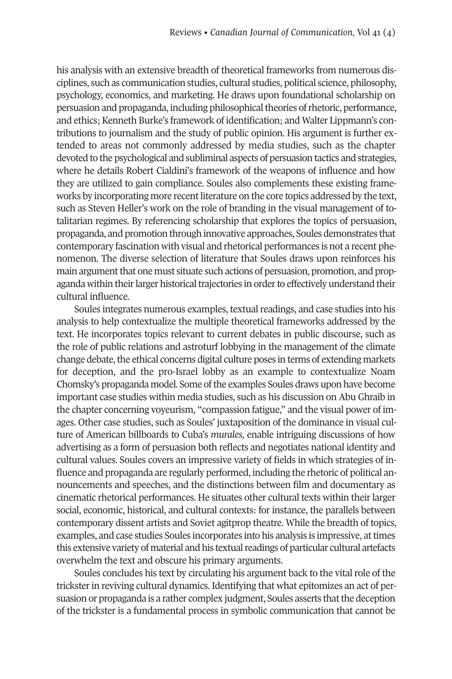his analysis with an extensive breadth of theoretical frameworks from numerous disciplines, such as communication studies, cultural studies, political science, philosophy, psychology, economics, and marketing. He draws upon foundational scholarship on persuasion and propaganda, including philosophical theories of rhetoric, performance, and ethics; Kenneth Burke's framework of identification; and Walter Lippmann's contributions to journalism and the study of public opinion. His argument is further extended to areas not commonly addressed by media studies, such as the chapter devoted to the psychological and subliminal aspects of persuasion tactics and strategies, where he details Robert Cialdini's framework of the weapons of influence and how they are utilized to gain compliance. Soules also complements these existing frameworks by incorporating more recent literature on the core topics addressed by the text, such as Steven Heller's work on the role of branding in the visual management of totalitarian regimes. By referencing scholarship that explores the topics of persuasion, propaganda, and promotion through innovative approaches, Soules demonstrates that contemporary fascination with visual and rhetorical performances is not a recent phenomenon. The diverse selection of literature that Soules draws upon reinforces his main argument that one must situate such actions of persuasion, promotion, and propaganda within their larger historical trajectories in order to effectively understand their cultural influence.

Soules integrates numerous examples, textual readings, and case studies into his analysis to help contextualize the multiple theoretical frameworks addressed by the text. He incorporates topics relevant to current debates in public discourse, such as the role of public relations and astroturf lobbying in the management of the climate change debate, the ethical concerns digital culture poses in terms of extending markets for deception, and the pro-Israel lobby as an example to contextualize Noam Chomsky's propaganda model. Some ofthe examples Soules draws upon have become important case studies within media studies, such as his discussion on Abu Ghraib in the chapter concerning voyeurism, "compassion fatigue," and the visual power of images. Other case studies, such as Soules' juxtaposition of the dominance in visual culture of American billboards to Cuba's *murales*, enable intriguing discussions of how advertising as a form of persuasion both reflects and negotiates national identity and cultural values. Soules covers an impressive variety of fields in which strategies of influence and propaganda are regularly performed, including the rhetoric of political announcements and speeches, and the distinctions between film and documentary as cinematic rhetorical performances. He situates other cultural texts within their larger social, economic, historical, and cultural contexts: for instance, the parallels between contemporary dissent artists and Soviet agitprop theatre. While the breadth of topics, examples, and case studies Soules incorporates into his analysis is impressive, at times this extensive variety of material and his textual readings of particular cultural artefacts overwhelm the text and obscure his primary arguments.

Soules concludes his text by circulating his argument back to the vital role of the tricksterin reviving cultural dynamics. Identifying that what epitomizes an act of persuasion or propaganda is a rather complex judgment, Soules asserts that the deception of the trickster is a fundamental process in symbolic communication that cannot be